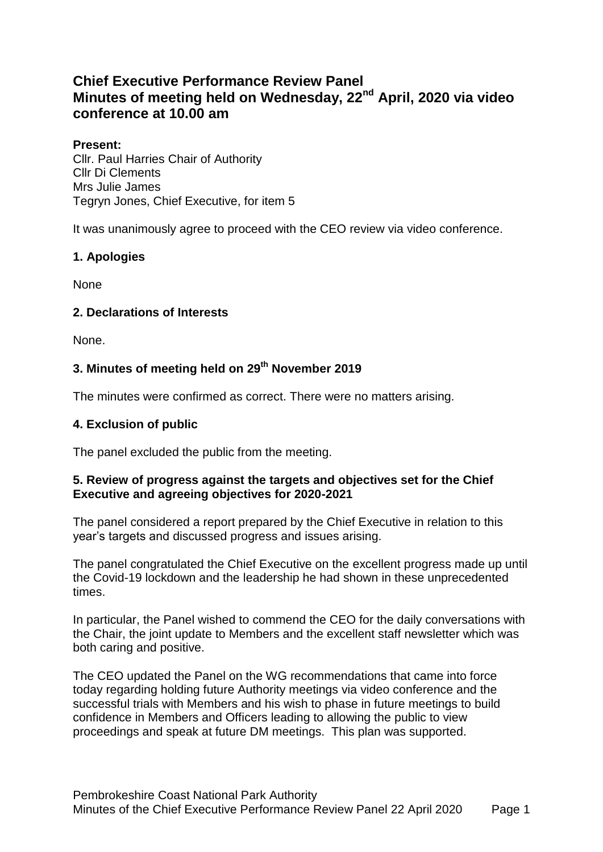# **Chief Executive Performance Review Panel Minutes of meeting held on Wednesday, 22nd April, 2020 via video conference at 10.00 am**

#### **Present:**

Cllr. Paul Harries Chair of Authority Cllr Di Clements Mrs Julie James Tegryn Jones, Chief Executive, for item 5

It was unanimously agree to proceed with the CEO review via video conference.

### **1. Apologies**

None

## **2. Declarations of Interests**

None.

## **3. Minutes of meeting held on 29th November 2019**

The minutes were confirmed as correct. There were no matters arising.

### **4. Exclusion of public**

The panel excluded the public from the meeting.

#### **5. Review of progress against the targets and objectives set for the Chief Executive and agreeing objectives for 2020-2021**

The panel considered a report prepared by the Chief Executive in relation to this year's targets and discussed progress and issues arising.

The panel congratulated the Chief Executive on the excellent progress made up until the Covid-19 lockdown and the leadership he had shown in these unprecedented times.

In particular, the Panel wished to commend the CEO for the daily conversations with the Chair, the joint update to Members and the excellent staff newsletter which was both caring and positive.

The CEO updated the Panel on the WG recommendations that came into force today regarding holding future Authority meetings via video conference and the successful trials with Members and his wish to phase in future meetings to build confidence in Members and Officers leading to allowing the public to view proceedings and speak at future DM meetings. This plan was supported.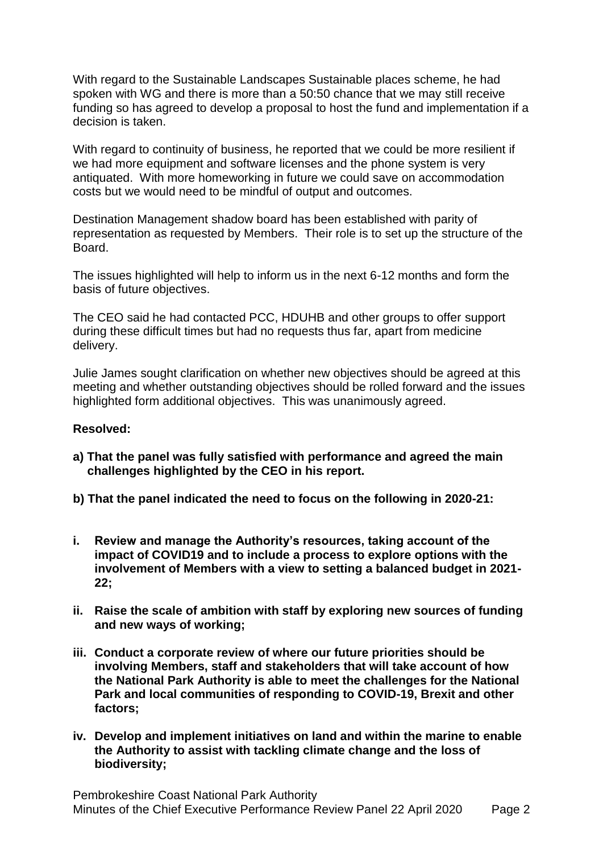With regard to the Sustainable Landscapes Sustainable places scheme, he had spoken with WG and there is more than a 50:50 chance that we may still receive funding so has agreed to develop a proposal to host the fund and implementation if a decision is taken.

With regard to continuity of business, he reported that we could be more resilient if we had more equipment and software licenses and the phone system is very antiquated. With more homeworking in future we could save on accommodation costs but we would need to be mindful of output and outcomes.

Destination Management shadow board has been established with parity of representation as requested by Members. Their role is to set up the structure of the Board.

The issues highlighted will help to inform us in the next 6-12 months and form the basis of future objectives.

The CEO said he had contacted PCC, HDUHB and other groups to offer support during these difficult times but had no requests thus far, apart from medicine delivery.

Julie James sought clarification on whether new objectives should be agreed at this meeting and whether outstanding objectives should be rolled forward and the issues highlighted form additional objectives. This was unanimously agreed.

#### **Resolved:**

- **a) That the panel was fully satisfied with performance and agreed the main challenges highlighted by the CEO in his report.**
- **b) That the panel indicated the need to focus on the following in 2020-21:**
- **i. Review and manage the Authority's resources, taking account of the impact of COVID19 and to include a process to explore options with the involvement of Members with a view to setting a balanced budget in 2021- 22;**
- **ii. Raise the scale of ambition with staff by exploring new sources of funding and new ways of working;**
- **iii. Conduct a corporate review of where our future priorities should be involving Members, staff and stakeholders that will take account of how the National Park Authority is able to meet the challenges for the National Park and local communities of responding to COVID-19, Brexit and other factors;**
- **iv. Develop and implement initiatives on land and within the marine to enable the Authority to assist with tackling climate change and the loss of biodiversity;**